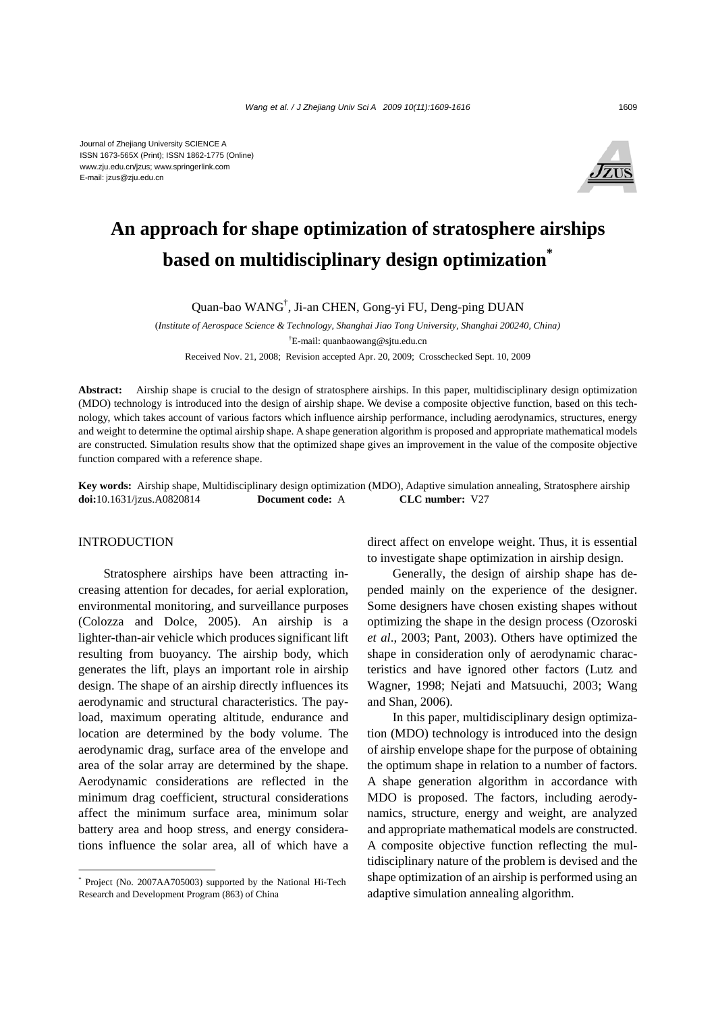

# **An approach for shape optimization of stratosphere airships based on multidisciplinary design optimization\***

Quan-bao WANG† , Ji-an CHEN, Gong-yi FU, Deng-ping DUAN

(*Institute of Aerospace Science & Technology, Shanghai Jiao Tong University, Shanghai 200240, China)*  † E-mail: quanbaowang@sjtu.edu.cn Received Nov. 21, 2008; Revision accepted Apr. 20, 2009; Crosschecked Sept. 10, 2009

**Abstract:** Airship shape is crucial to the design of stratosphere airships. In this paper, multidisciplinary design optimization (MDO) technology is introduced into the design of airship shape. We devise a composite objective function, based on this technology, which takes account of various factors which influence airship performance, including aerodynamics, structures, energy and weight to determine the optimal airship shape. A shape generation algorithm is proposed and appropriate mathematical models are constructed. Simulation results show that the optimized shape gives an improvement in the value of the composite objective function compared with a reference shape.

**Key words:** Airship shape, Multidisciplinary design optimization (MDO), Adaptive simulation annealing, Stratosphere airship **doi:**10.1631/jzus.A0820814 **Document code:** A **CLC number:** V27

## INTRODUCTION

Stratosphere airships have been attracting increasing attention for decades, for aerial exploration, environmental monitoring, and surveillance purposes (Colozza and Dolce, 2005). An airship is a lighter-than-air vehicle which produces significant lift resulting from buoyancy. The airship body, which generates the lift, plays an important role in airship design. The shape of an airship directly influences its aerodynamic and structural characteristics. The payload, maximum operating altitude, endurance and location are determined by the body volume. The aerodynamic drag, surface area of the envelope and area of the solar array are determined by the shape. Aerodynamic considerations are reflected in the minimum drag coefficient, structural considerations affect the minimum surface area, minimum solar battery area and hoop stress, and energy considerations influence the solar area, all of which have a direct affect on envelope weight. Thus, it is essential to investigate shape optimization in airship design.

Generally, the design of airship shape has depended mainly on the experience of the designer. Some designers have chosen existing shapes without optimizing the shape in the design process (Ozoroski *et al*., 2003; Pant, 2003). Others have optimized the shape in consideration only of aerodynamic characteristics and have ignored other factors (Lutz and Wagner, 1998; Nejati and Matsuuchi, 2003; Wang and Shan, 2006).

In this paper, multidisciplinary design optimization (MDO) technology is introduced into the design of airship envelope shape for the purpose of obtaining the optimum shape in relation to a number of factors. A shape generation algorithm in accordance with MDO is proposed. The factors, including aerodynamics, structure, energy and weight, are analyzed and appropriate mathematical models are constructed. A composite objective function reflecting the multidisciplinary nature of the problem is devised and the shape optimization of an airship is performed using an adaptive simulation annealing algorithm.

<sup>\*</sup> Project (No. 2007AA705003) supported by the National Hi-Tech Research and Development Program (863) of China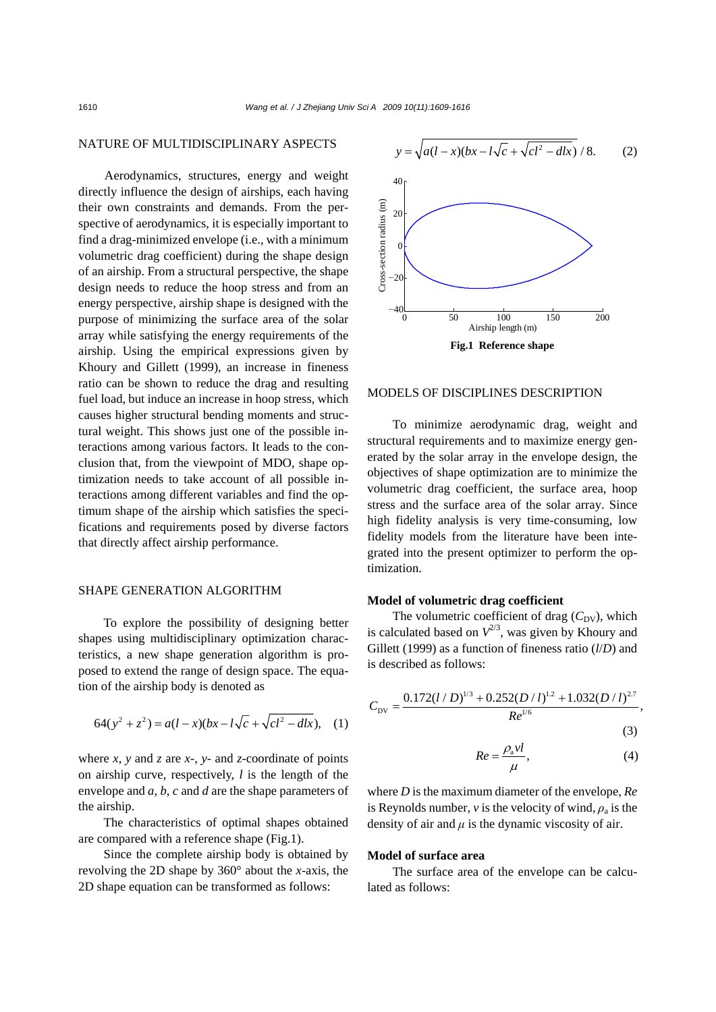# NATURE OF MULTIDISCIPLINARY ASPECTS

Aerodynamics, structures, energy and weight directly influence the design of airships, each having their own constraints and demands. From the perspective of aerodynamics, it is especially important to find a drag-minimized envelope (i.e., with a minimum volumetric drag coefficient) during the shape design of an airship. From a structural perspective, the shape design needs to reduce the hoop stress and from an energy perspective, airship shape is designed with the purpose of minimizing the surface area of the solar array while satisfying the energy requirements of the airship. Using the empirical expressions given by Khoury and Gillett (1999), an increase in fineness ratio can be shown to reduce the drag and resulting fuel load, but induce an increase in hoop stress, which causes higher structural bending moments and structural weight. This shows just one of the possible interactions among various factors. It leads to the conclusion that, from the viewpoint of MDO, shape optimization needs to take account of all possible interactions among different variables and find the optimum shape of the airship which satisfies the specifications and requirements posed by diverse factors that directly affect airship performance.

# SHAPE GENERATION ALGORITHM

To explore the possibility of designing better shapes using multidisciplinary optimization characteristics, a new shape generation algorithm is proposed to extend the range of design space. The equation of the airship body is denoted as

$$
64(y^2 + z^2) = a(l - x)(bx - l\sqrt{c} + \sqrt{cl^2 - dlx}), \quad (1)
$$

where  $x$ ,  $y$  and  $z$  are  $x$ -,  $y$ - and  $z$ -coordinate of points on airship curve, respectively, *l* is the length of the envelope and *a*, *b*, *c* and *d* are the shape parameters of the airship.

The characteristics of optimal shapes obtained are compared with a reference shape (Fig.1).

Since the complete airship body is obtained by revolving the 2D shape by 360° about the *x*-axis, the 2D shape equation can be transformed as follows:



# MODELS OF DISCIPLINES DESCRIPTION

To minimize aerodynamic drag, weight and structural requirements and to maximize energy generated by the solar array in the envelope design, the objectives of shape optimization are to minimize the volumetric drag coefficient, the surface area, hoop stress and the surface area of the solar array. Since high fidelity analysis is very time-consuming, low fidelity models from the literature have been integrated into the present optimizer to perform the optimization.

# **Model of volumetric drag coefficient**

The volumetric coefficient of drag  $(C_{\text{DV}})$ , which is calculated based on  $V^{2/3}$ , was given by Khoury and Gillett (1999) as a function of fineness ratio (*l*/*D*) and is described as follows:

$$
C_{\rm DV} = \frac{0.172 (l/D)^{1/3} + 0.252 (D/l)^{1/2} + 1.032 (D/l)^{2/7}}{Re^{1/6}},
$$
\n(3)

$$
Re = \frac{\rho_{\rm a} v l}{\mu}, \tag{4}
$$

where *D* is the maximum diameter of the envelope, *Re* is Reynolds number,  $\nu$  is the velocity of wind,  $\rho_a$  is the density of air and  $\mu$  is the dynamic viscosity of air.

## **Model of surface area**

The surface area of the envelope can be calculated as follows: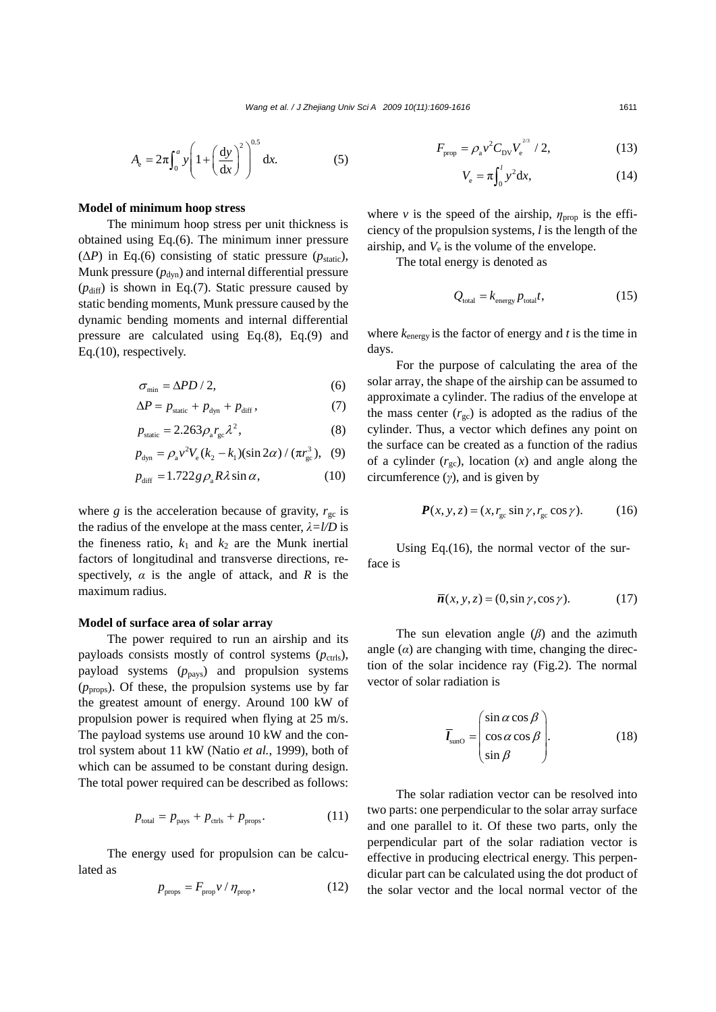$$
A_{e} = 2\pi \int_{0}^{a} y \left( 1 + \left( \frac{dy}{dx} \right)^{2} \right)^{0.5} dx.
$$
 (5)

#### **Model of minimum hoop stress**

The minimum hoop stress per unit thickness is obtained using Eq.(6). The minimum inner pressure  $(\Delta P)$  in Eq.(6) consisting of static pressure ( $p_{static}$ ), Munk pressure  $(p_{dyn})$  and internal differential pressure  $(p_{\text{diff}})$  is shown in Eq.(7). Static pressure caused by static bending moments, Munk pressure caused by the dynamic bending moments and internal differential pressure are calculated using Eq.(8), Eq.(9) and Eq.(10), respectively.

$$
\sigma_{\min} = \Delta P D / 2, \tag{6}
$$

$$
\Delta P = p_{\text{static}} + p_{\text{dyn}} + p_{\text{diff}}\,,\tag{7}
$$

$$
p_{\text{static}} = 2.263 \rho_{\text{a}} r_{\text{gc}} \lambda^2, \tag{8}
$$

$$
p_{\rm dyn} = \rho_{\rm a} v^2 V_{\rm e} (k_2 - k_1) (\sin 2\alpha) / (\pi r_{\rm gc}^3), \quad (9)
$$

$$
p_{\text{diff}} = 1.722 g \rho_{\text{a}} R \lambda \sin \alpha, \qquad (10)
$$

where *g* is the acceleration because of gravity,  $r_{gc}$  is the radius of the envelope at the mass center, *λ=l/D* is the fineness ratio,  $k_1$  and  $k_2$  are the Munk inertial factors of longitudinal and transverse directions, respectively,  $\alpha$  is the angle of attack, and  $R$  is the maximum radius.

#### **Model of surface area of solar array**

The power required to run an airship and its payloads consists mostly of control systems  $(p_{\text{ctrls}})$ , payload systems  $(p_{\text{pays}})$  and propulsion systems  $(p_{\text{prons}})$ . Of these, the propulsion systems use by far the greatest amount of energy. Around 100 kW of propulsion power is required when flying at 25 m/s. The payload systems use around 10 kW and the control system about 11 kW (Natio *et al.*, 1999), both of which can be assumed to be constant during design. The total power required can be described as follows:

$$
p_{\text{total}} = p_{\text{pays}} + p_{\text{crls}} + p_{\text{props}}.\tag{11}
$$

The energy used for propulsion can be calculated as

$$
p_{\text{props}} = F_{\text{prop}} v / \eta_{\text{prop}},\tag{12}
$$

$$
F_{\rm prop} = \rho_{\rm a} v^2 C_{\rm DV} V_{\rm e}^{^{2/3}} / 2, \tag{13}
$$

$$
V_{\rm e} = \pi \int_0^l y^2 \mathrm{d}x,\tag{14}
$$

where *v* is the speed of the airship,  $\eta_{\text{prop}}$  is the efficiency of the propulsion systems, *l* is the length of the airship, and  $V_e$  is the volume of the envelope.

The total energy is denoted as

$$
Q_{\text{total}} = k_{\text{energy}} p_{\text{total}} t,\tag{15}
$$

where  $k_{\text{energy}}$  is the factor of energy and  $t$  is the time in days.

For the purpose of calculating the area of the solar array, the shape of the airship can be assumed to approximate a cylinder. The radius of the envelope at the mass center  $(r_{\rm gc})$  is adopted as the radius of the cylinder. Thus, a vector which defines any point on the surface can be created as a function of the radius of a cylinder  $(r_{gc})$ , location  $(x)$  and angle along the circumference (*γ*), and is given by

$$
\boldsymbol{P}(x, y, z) = (x, r_{\rm gc} \sin \gamma, r_{\rm gc} \cos \gamma). \tag{16}
$$

Using Eq.(16), the normal vector of the surface is

$$
\overline{n}(x, y, z) = (0, \sin \gamma, \cos \gamma). \tag{17}
$$

The sun elevation angle (*β*) and the azimuth angle  $(\alpha)$  are changing with time, changing the direction of the solar incidence ray (Fig.2). The normal vector of solar radiation is

$$
\overline{I}_{\text{sunO}} = \begin{pmatrix} \sin \alpha \cos \beta \\ \cos \alpha \cos \beta \\ \sin \beta \end{pmatrix} . \tag{18}
$$

The solar radiation vector can be resolved into two parts: one perpendicular to the solar array surface and one parallel to it. Of these two parts, only the perpendicular part of the solar radiation vector is effective in producing electrical energy. This perpendicular part can be calculated using the dot product of the solar vector and the local normal vector of the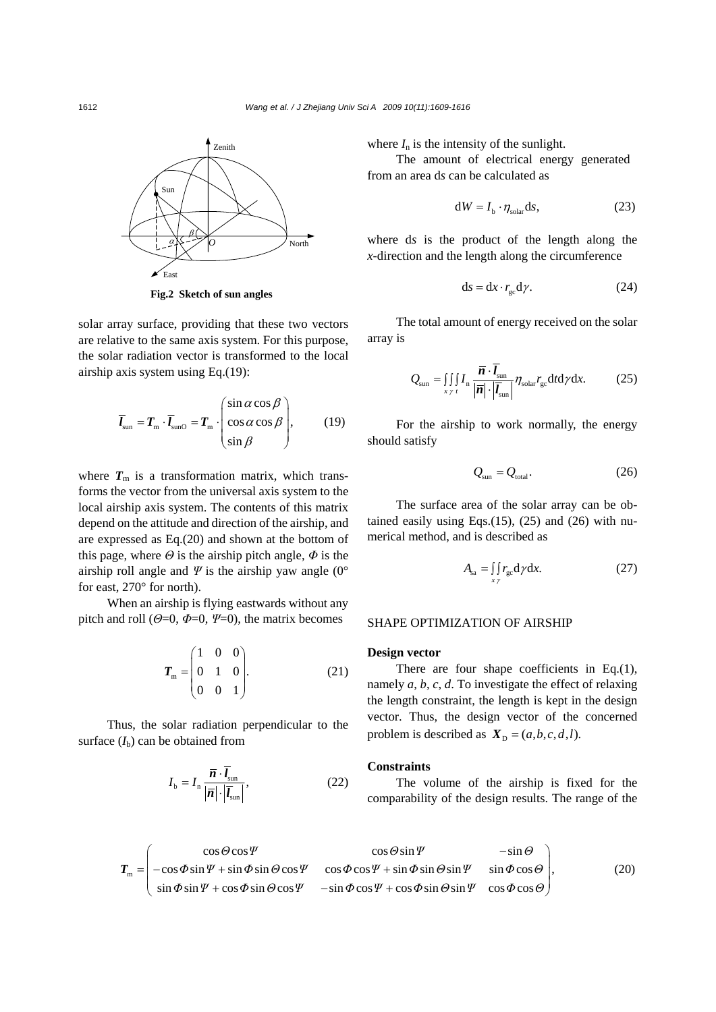

**Fig.2 Sketch of sun angles** 

solar array surface, providing that these two vectors are relative to the same axis system. For this purpose, the solar radiation vector is transformed to the local airship axis system using Eq.(19):

$$
\overline{I}_{\text{sun}} = T_{\text{m}} \cdot \overline{I}_{\text{sunO}} = T_{\text{m}} \cdot \begin{pmatrix} \sin \alpha \cos \beta \\ \cos \alpha \cos \beta \\ \sin \beta \end{pmatrix}, \qquad (19)
$$

where  $T_{\rm m}$  is a transformation matrix, which transforms the vector from the universal axis system to the local airship axis system. The contents of this matrix depend on the attitude and direction of the airship, and are expressed as Eq.(20) and shown at the bottom of this page, where  $\Theta$  is the airship pitch angle,  $\Phi$  is the airship roll angle and  $\Psi$  is the airship yaw angle (0° for east, 270° for north).

When an airship is flying eastwards without any pitch and roll ( $\Theta$ =0,  $\Phi$ =0,  $\Psi$ =0), the matrix becomes

$$
\boldsymbol{T}_{\text{m}} = \begin{pmatrix} 1 & 0 & 0 \\ 0 & 1 & 0 \\ 0 & 0 & 1 \end{pmatrix} . \tag{21}
$$

Thus, the solar radiation perpendicular to the surface  $(I_b)$  can be obtained from

$$
I_{\rm b} = I_{\rm n} \frac{\overline{n} \cdot l_{\rm sun}}{|\overline{n}| \cdot |\overline{l_{\rm sun}}|},\tag{22}
$$

where  $I_n$  is the intensity of the sunlight.

The amount of electrical energy generated from an area d*s* can be calculated as

$$
dW = I_b \cdot \eta_{\text{solar}} ds,\tag{23}
$$

where d*s* is the product of the length along the *x*-direction and the length along the circumference

$$
ds = dx \cdot r_{gc} d\gamma. \tag{24}
$$

The total amount of energy received on the solar array is

$$
Q_{\text{sun}} = \iiint\limits_{x \, \gamma \, t} I_n \, \frac{\overline{n} \cdot \overline{l}_{\text{sun}}}{|\overline{n}| \cdot |\overline{l}_{\text{sun}}|} \eta_{\text{solar}} r_{\text{gc}} \, \text{d}t \, \text{d}t \gamma \, \text{d}x. \tag{25}
$$

For the airship to work normally, the energy should satisfy

$$
Q_{\rm sun} = Q_{\rm total}.
$$
 (26)

The surface area of the solar array can be obtained easily using Eqs. $(15)$ ,  $(25)$  and  $(26)$  with numerical method, and is described as

$$
A_{sa} = \iint\limits_{x \gamma} r_{gc} \, d\gamma \, dx. \tag{27}
$$

#### SHAPE OPTIMIZATION OF AIRSHIP

#### **Design vector**

There are four shape coefficients in Eq.(1), namely *a*, *b*, *c*, *d*. To investigate the effect of relaxing the length constraint, the length is kept in the design vector. Thus, the design vector of the concerned problem is described as  $X_p = (a, b, c, d, l)$ .

#### **Constraints**

The volume of the airship is fixed for the comparability of the design results. The range of the

$$
\boldsymbol{T}_{\mathrm{m}} = \begin{pmatrix} \cos\Theta\cos\Psi & \cos\Theta\sin\Psi & -\sin\Theta \\ -\cos\Phi\sin\Psi + \sin\Phi\sin\Theta\cos\Psi & \cos\Phi\cos\Psi + \sin\Phi\sin\Theta\sin\Psi & \sin\Phi\cos\Theta \\ \sin\Phi\sin\Psi + \cos\Phi\sin\Theta\cos\Psi & -\sin\Phi\cos\Psi + \cos\Phi\sin\Theta\sin\Psi & \cos\Phi\cos\Theta \end{pmatrix},
$$
(20)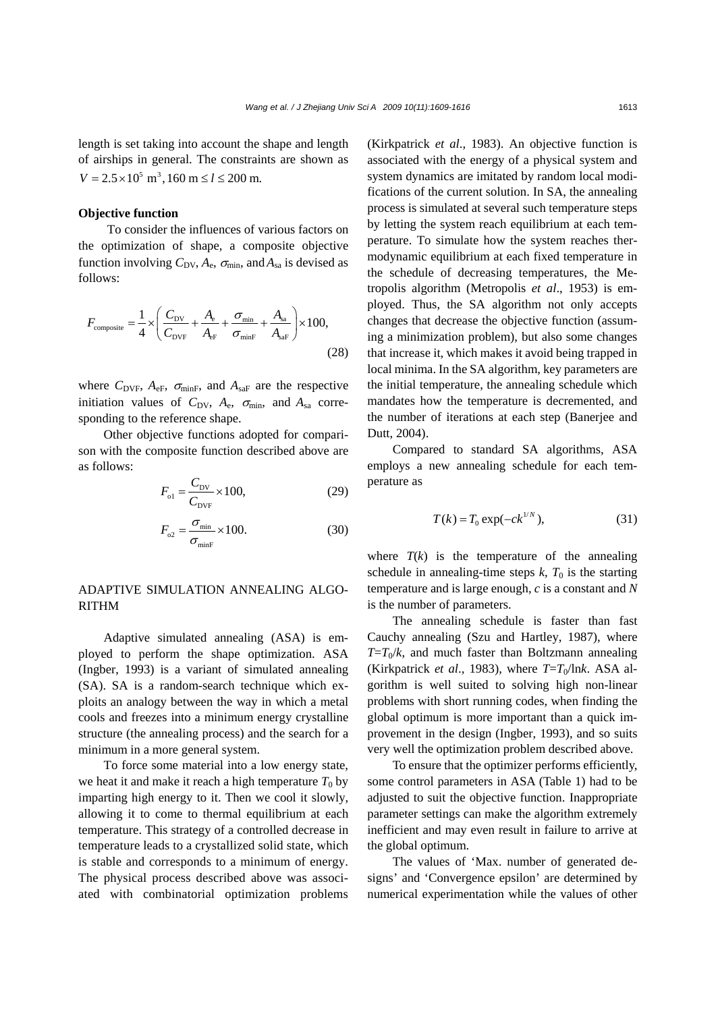length is set taking into account the shape and length of airships in general. The constraints are shown as  $V = 2.5 \times 10^5$  m<sup>3</sup>, 160 m  $\le l \le 200$  m.

## **Objective function**

To consider the influences of various factors on the optimization of shape, a composite objective function involving  $C_{\text{DV}}$ ,  $A_{\text{e}}$ ,  $\sigma_{\text{min}}$ , and  $A_{\text{sa}}$  is devised as follows:

$$
F_{\text{composite}} = \frac{1}{4} \times \left( \frac{C_{\text{DV}}}{C_{\text{DVF}}} + \frac{A_{\text{e}}}{A_{\text{eF}}} + \frac{\sigma_{\text{min}}}{\sigma_{\text{minF}}} + \frac{A_{\text{sa}}}{A_{\text{saF}}} \right) \times 100,
$$
\n(28)

where  $C_{\text{DVF}}$ ,  $A_{\text{eF}}$ ,  $\sigma_{\text{minF}}$ , and  $A_{\text{saF}}$  are the respective initiation values of  $C_{\text{DV}}$ ,  $A_{\text{e}}$ ,  $\sigma_{\text{min}}$ , and  $A_{\text{sa}}$  corresponding to the reference shape.

Other objective functions adopted for comparison with the composite function described above are as follows:

$$
F_{o1} = \frac{C_{\text{DV}}}{C_{\text{DVF}}} \times 100,\tag{29}
$$

$$
F_{o2} = \frac{\sigma_{\min}}{\sigma_{\min F}} \times 100. \tag{30}
$$

# ADAPTIVE SIMULATION ANNEALING ALGO-RITHM

Adaptive simulated annealing (ASA) is employed to perform the shape optimization. ASA (Ingber, 1993) is a variant of simulated annealing (SA). SA is a random-search technique which exploits an analogy between the way in which a metal cools and freezes into a minimum energy crystalline structure (the annealing process) and the search for a minimum in a more general system.

To force some material into a low energy state, we heat it and make it reach a high temperature  $T_0$  by imparting high energy to it. Then we cool it slowly, allowing it to come to thermal equilibrium at each temperature. This strategy of a controlled decrease in temperature leads to a crystallized solid state, which is stable and corresponds to a minimum of energy. The physical process described above was associated with combinatorial optimization problems

(Kirkpatrick *et al*., 1983). An objective function is associated with the energy of a physical system and system dynamics are imitated by random local modifications of the current solution. In SA, the annealing process is simulated at several such temperature steps by letting the system reach equilibrium at each temperature. To simulate how the system reaches thermodynamic equilibrium at each fixed temperature in the schedule of decreasing temperatures, the Metropolis algorithm (Metropolis *et al*., 1953) is employed. Thus, the SA algorithm not only accepts changes that decrease the objective function (assuming a minimization problem), but also some changes that increase it, which makes it avoid being trapped in local minima. In the SA algorithm, key parameters are the initial temperature, the annealing schedule which mandates how the temperature is decremented, and the number of iterations at each step (Banerjee and Dutt, 2004).

Compared to standard SA algorithms, ASA employs a new annealing schedule for each temperature as

$$
T(k) = T_0 \exp(-ck^{1/N}),
$$
 (31)

where  $T(k)$  is the temperature of the annealing schedule in annealing-time steps  $k$ ,  $T_0$  is the starting temperature and is large enough, *c* is a constant and *N* is the number of parameters.

The annealing schedule is faster than fast Cauchy annealing (Szu and Hartley, 1987), where  $T=T_0/k$ , and much faster than Boltzmann annealing (Kirkpatrick *et al.*, 1983), where  $T=T_0/\text{ln}k$ . ASA algorithm is well suited to solving high non-linear problems with short running codes, when finding the global optimum is more important than a quick improvement in the design (Ingber, 1993), and so suits very well the optimization problem described above.

To ensure that the optimizer performs efficiently, some control parameters in ASA (Table 1) had to be adjusted to suit the objective function. Inappropriate parameter settings can make the algorithm extremely inefficient and may even result in failure to arrive at the global optimum.

The values of 'Max. number of generated designs' and 'Convergence epsilon' are determined by numerical experimentation while the values of other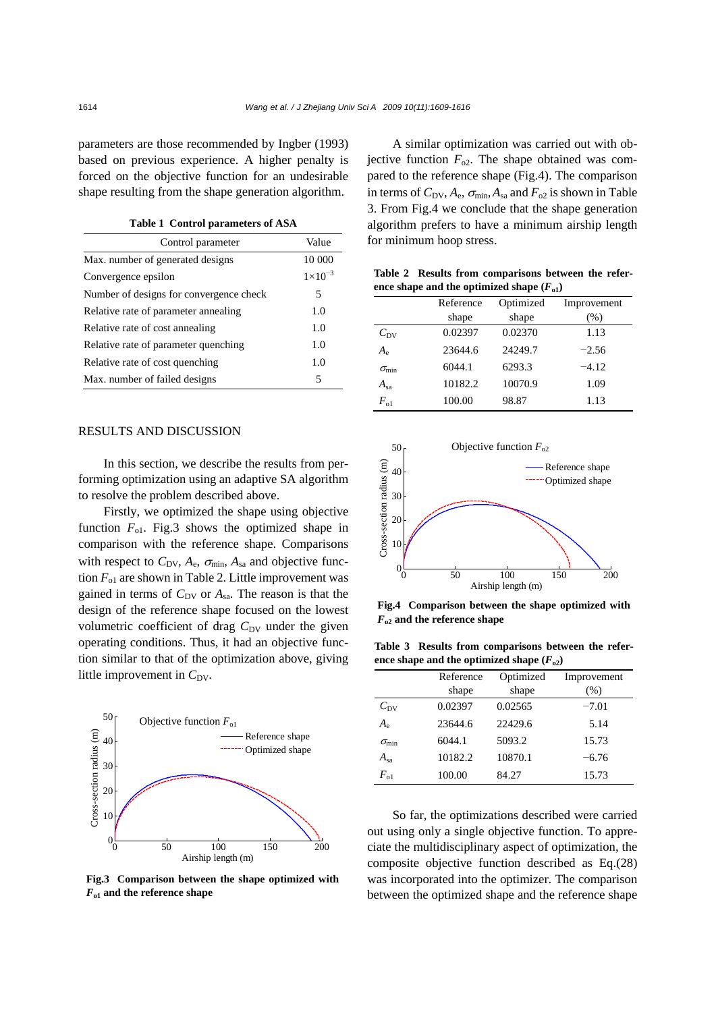parameters are those recommended by Ingber (1993) based on previous experience. A higher penalty is forced on the objective function for an undesirable shape resulting from the shape generation algorithm.

**Table 1 Control parameters of ASA** 

| Control parameter                       | Value              |
|-----------------------------------------|--------------------|
| Max. number of generated designs        | 10 000             |
| Convergence epsilon                     | $1 \times 10^{-3}$ |
| Number of designs for convergence check | 5                  |
| Relative rate of parameter annealing    | 1.0                |
| Relative rate of cost annealing         | 1.0                |
| Relative rate of parameter quenching    | 1.0                |
| Relative rate of cost quenching         | 1.0                |
| Max. number of failed designs           | 5                  |

### RESULTS AND DISCUSSION

In this section, we describe the results from performing optimization using an adaptive SA algorithm to resolve the problem described above.

Firstly, we optimized the shape using objective function  $F_{01}$ . Fig.3 shows the optimized shape in comparison with the reference shape. Comparisons with respect to  $C_{\text{DV}}$ ,  $A_e$ ,  $\sigma_{\text{min}}$ ,  $A_{sa}$  and objective function  $F_{01}$  are shown in Table 2. Little improvement was gained in terms of  $C_{\text{DV}}$  or  $A_{\text{sa}}$ . The reason is that the design of the reference shape focused on the lowest volumetric coefficient of drag C<sub>DV</sub> under the given operating conditions. Thus, it had an objective function similar to that of the optimization above, giving little improvement in  $C_{\text{DV}}$ .



**Fig.3 Comparison between the shape optimized with**  *F***o1 and the reference shape** 

A similar optimization was carried out with objective function  $F_{02}$ . The shape obtained was compared to the reference shape (Fig.4). The comparison in terms of  $C_{\text{DV}}$ ,  $A_e$ ,  $\sigma_{\text{min}}$ ,  $A_{sa}$  and  $F_{o2}$  is shown in Table 3. From Fig.4 we conclude that the shape generation algorithm prefers to have a minimum airship length for minimum hoop stress.

**Table 2 Results from comparisons between the refer**ence shape and the optimized shape  $(F_{o1})$ 

|                               | Reference | Optimized | Improvement |
|-------------------------------|-----------|-----------|-------------|
|                               | shape     | shape     | (%)         |
| $C_{\rm DV}$                  | 0.02397   | 0.02370   | 1.13        |
| $A_{\scriptscriptstyle\rm e}$ | 23644.6   | 24249.7   | $-2.56$     |
| $\sigma_{\min}$               | 6044.1    | 6293.3    | $-4.12$     |
| $A_{sa}$                      | 10182.2   | 10070.9   | 1.09        |
| $F_{o1}$                      | 100.00    | 98.87     | 1.13        |



**Fig.4 Comparison between the shape optimized with**  *F***o2 and the reference shape** 

**Table 3 Results from comparisons between the refer**ence shape and the optimized shape  $(F_{02})$ 

|                 | Reference | Optimized | Improvement |
|-----------------|-----------|-----------|-------------|
|                 | shape     | shape     | $(\%)$      |
| $C_{\rm DV}$    | 0.02397   | 0.02565   | $-7.01$     |
| $A_{\rm e}$     | 23644.6   | 22429.6   | 5.14        |
| $\sigma_{\min}$ | 6044.1    | 5093.2    | 15.73       |
| $A_{sa}$        | 10182.2   | 10870.1   | $-6.76$     |
| $F_{01}$        | 100.00    | 84.27     | 15.73       |

So far, the optimizations described were carried out using only a single objective function. To appreciate the multidisciplinary aspect of optimization, the composite objective function described as Eq.(28) was incorporated into the optimizer. The comparison between the optimized shape and the reference shape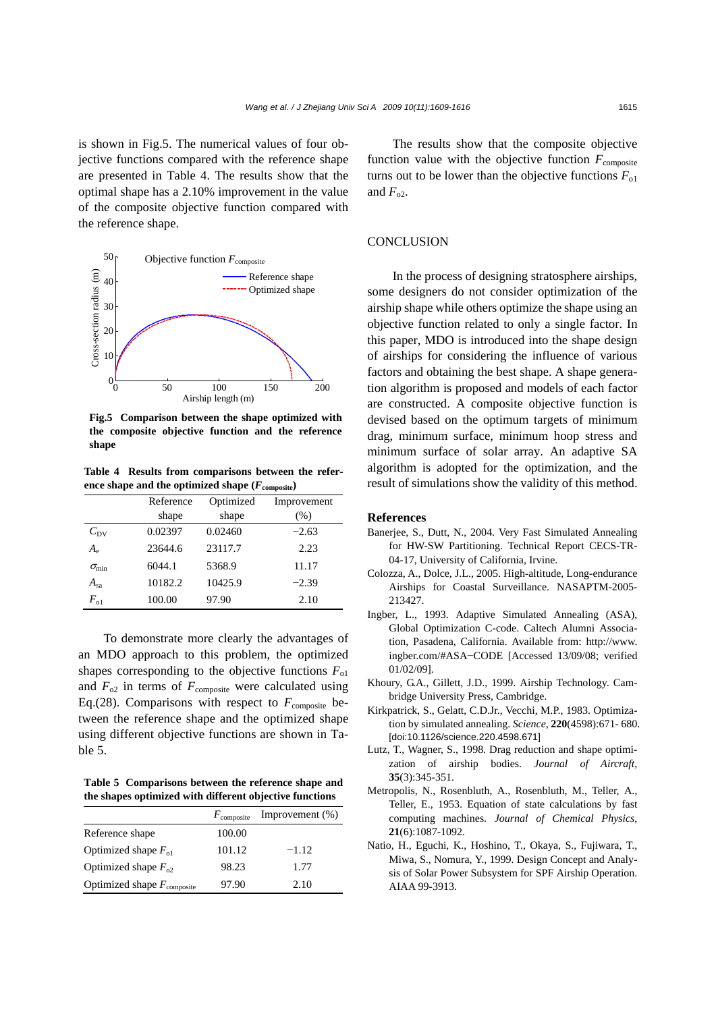is shown in Fig.5. The numerical values of four objective functions compared with the reference shape are presented in Table 4. The results show that the optimal shape has a 2.10% improvement in the value of the composite objective function compared with the reference shape.



**Fig.5 Comparison between the shape optimized with the composite objective function and the reference shape** 

**Table 4 Results from comparisons between the reference shape and the optimized shape**  $(F_{\text{composite}})$ 

|                 | Reference | Optimized | Improvement |
|-----------------|-----------|-----------|-------------|
|                 | shape     | shape     | (% )        |
| $C_{\rm DV}$    | 0.02397   | 0.02460   | $-2.63$     |
| $A_{\rm e}$     | 23644.6   | 23117.7   | 2.23        |
| $\sigma_{\min}$ | 6044.1    | 5368.9    | 11.17       |
| $A_{sa}$        | 10182.2   | 10425.9   | $-2.39$     |
| $F_{\alpha 1}$  | 100.00    | 97.90     | 2.10        |

To demonstrate more clearly the advantages of an MDO approach to this problem, the optimized shapes corresponding to the objective functions  $F_{01}$ and  $F_{02}$  in terms of  $F_{\text{composite}}$  were calculated using Eq.(28). Comparisons with respect to  $F_{\text{composite}}$  between the reference shape and the optimized shape using different objective functions are shown in Table 5.

**Table 5 Comparisons between the reference shape and the shapes optimized with different objective functions**

|                                        | $F_{\text{composite}}$ | Improvement $(\%)$ |
|----------------------------------------|------------------------|--------------------|
| Reference shape                        | 100.00                 |                    |
| Optimized shape $F_{01}$               | 101.12                 | $-1.12$            |
| Optimized shape $F_{02}$               | 98.23                  | 1.77               |
| Optimized shape $F_{\text{composite}}$ | 97.90                  | 2.10               |

The results show that the composite objective function value with the objective function  $F_{\text{composite}}$ turns out to be lower than the objective functions  $F_{01}$ and  $F_{02}$ .

## **CONCLUSION**

In the process of designing stratosphere airships, some designers do not consider optimization of the airship shape while others optimize the shape using an objective function related to only a single factor. In this paper, MDO is introduced into the shape design of airships for considering the influence of various factors and obtaining the best shape. A shape generation algorithm is proposed and models of each factor are constructed. A composite objective function is devised based on the optimum targets of minimum drag, minimum surface, minimum hoop stress and minimum surface of solar array. An adaptive SA algorithm is adopted for the optimization, and the result of simulations show the validity of this method.

#### **References**

- Banerjee, S., Dutt, N., 2004. Very Fast Simulated Annealing for HW-SW Partitioning. Technical Report CECS-TR-04-17, University of California, Irvine.
- Colozza, A., Dolce, J.L., 2005. High-altitude, Long-endurance Airships for Coastal Surveillance. NASAPTM-2005- 213427.
- Ingber, L., 1993. Adaptive Simulated Annealing (ASA), Global Optimization C-code. Caltech Alumni Association, Pasadena, California. Available from: http://www. ingber.com/#ASA−CODE [Accessed 13/09/08; verified 01/02/09].
- Khoury, G.A., Gillett, J.D., 1999. Airship Technology. Cambridge University Press, Cambridge.
- Kirkpatrick, S., Gelatt, C.D.Jr., Vecchi, M.P., 1983. Optimization by simulated annealing. *Science*, **220**(4598):671- 680. [doi:10.1126/science.220.4598.671]
- Lutz, T., Wagner, S., 1998. Drag reduction and shape optimization of airship bodies. *Journal of Aircraft*, **35**(3):345-351.
- Metropolis, N., Rosenbluth, A., Rosenbluth, M., Teller, A., Teller, E., 1953. Equation of state calculations by fast computing machines. *Journal of Chemical Physics*, **21**(6):1087-1092.
- Natio, H., Eguchi, K., Hoshino, T., Okaya, S., Fujiwara, T., Miwa, S., Nomura, Y., 1999. Design Concept and Analysis of Solar Power Subsystem for SPF Airship Operation. AIAA 99-3913.